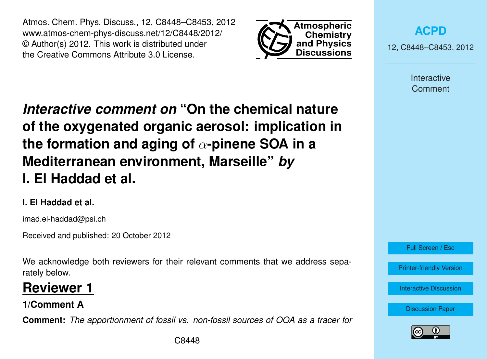Atmos. Chem. Phys. Discuss., 12, C8448–C8453, 2012 www.atmos-chem-phys-discuss.net/12/C8448/2012/ © Author(s) 2012. This work is distributed under the Creative Commons Attribute 3.0 License.



**[ACPD](http://www.atmos-chem-phys-discuss.net)**

12, C8448–C8453, 2012

Interactive Comment

*Interactive comment on* **"On the chemical nature of the oxygenated organic aerosol: implication in the formation and aging of** α**-pinene SOA in a Mediterranean environment, Marseille"** *by* **I. El Haddad et al.**

## **I. El Haddad et al.**

imad.el-haddad@psi.ch

Received and published: 20 October 2012

We acknowledge both reviewers for their relevant comments that we address separately below.

# **Reviewer 1**

**1/Comment A**

**Comment:** *The apportionment of fossil vs. non-fossil sources of OOA as a tracer for*



Full Screen / Esc

[Printer-friendly Version](http://www.atmos-chem-phys-discuss.net/12/C8448/2012/acpd-12-C8448-2012-print.pdf)

[Interactive Discussion](http://www.atmos-chem-phys-discuss.net/12/19769/2012/acpd-12-19769-2012-discussion.html)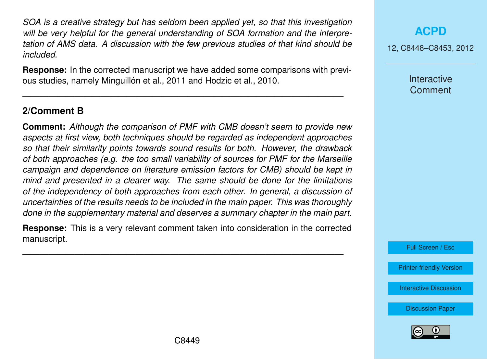*SOA is a creative strategy but has seldom been applied yet, so that this investigation will be very helpful for the general understanding of SOA formation and the interpretation of AMS data. A discussion with the few previous studies of that kind should be included.*

**Response:** In the corrected manuscript we have added some comparisons with previous studies, namely Minguillón et al., 2011 and Hodzic et al., 2010.

—————————————————————————————————————

#### **2/Comment B**

**Comment:** *Although the comparison of PMF with CMB doesn't seem to provide new aspects at first view, both techniques should be regarded as independent approaches so that their similarity points towards sound results for both. However, the drawback of both approaches (e.g. the too small variability of sources for PMF for the Marseille campaign and dependence on literature emission factors for CMB) should be kept in mind and presented in a clearer way. The same should be done for the limitations of the independency of both approaches from each other. In general, a discussion of uncertainties of the results needs to be included in the main paper. This was thoroughly done in the supplementary material and deserves a summary chapter in the main part.*

**Response:** This is a very relevant comment taken into consideration in the corrected manuscript.

—————————————————————————————————————

#### **[ACPD](http://www.atmos-chem-phys-discuss.net)**

12, C8448–C8453, 2012

**Interactive Comment** 

Full Screen / Esc

[Printer-friendly Version](http://www.atmos-chem-phys-discuss.net/12/C8448/2012/acpd-12-C8448-2012-print.pdf)

[Interactive Discussion](http://www.atmos-chem-phys-discuss.net/12/19769/2012/acpd-12-19769-2012-discussion.html)

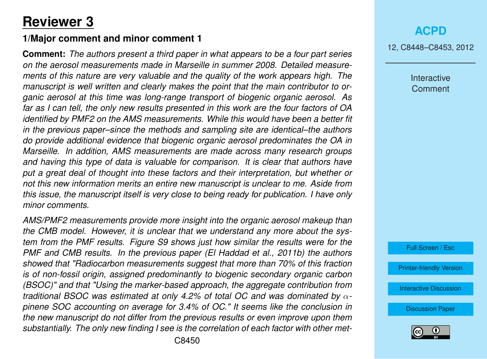# **Reviewer 3**

#### **1/Major comment and minor comment 1**

**Comment:** *The authors present a third paper in what appears to be a four part series on the aerosol measurements made in Marseille in summer 2008. Detailed measurements of this nature are very valuable and the quality of the work appears high. The manuscript is well written and clearly makes the point that the main contributor to organic aerosol at this time was long-range transport of biogenic organic aerosol. As far as I can tell, the only new results presented in this work are the four factors of OA identified by PMF2 on the AMS measurements. While this would have been a better fit in the previous paper–since the methods and sampling site are identical–the authors do provide additional evidence that biogenic organic aerosol predominates the OA in Marseille. In addition, AMS measurements are made across many research groups and having this type of data is valuable for comparison. It is clear that authors have put a great deal of thought into these factors and their interpretation, but whether or not this new information merits an entire new manuscript is unclear to me. Aside from this issue, the manuscript itself is very close to being ready for publication. I have only minor comments.*

*AMS/PMF2 measurements provide more insight into the organic aerosol makeup than the CMB model. However, it is unclear that we understand any more about the system from the PMF results. Figure S9 shows just how similar the results were for the PMF and CMB results. In the previous paper (El Haddad et al., 2011b) the authors showed that "Radiocarbon measurements suggest that more than 70% of this fraction is of non-fossil origin, assigned predominantly to biogenic secondary organic carbon (BSOC)" and that "Using the marker-based approach, the aggregate contribution from traditional BSOC was estimated at only 4.2% of total OC and was dominated by* α*pinene SOC accounting on average for 3.4% of OC." It seems like the conclusion in the new manuscript do not differ from the previous results or even improve upon them substantially. The only new finding I see is the correlation of each factor with other met-* 12, C8448–C8453, 2012

Interactive **Comment** 

Full Screen / Esc

[Printer-friendly Version](http://www.atmos-chem-phys-discuss.net/12/C8448/2012/acpd-12-C8448-2012-print.pdf)

[Interactive Discussion](http://www.atmos-chem-phys-discuss.net/12/19769/2012/acpd-12-19769-2012-discussion.html)

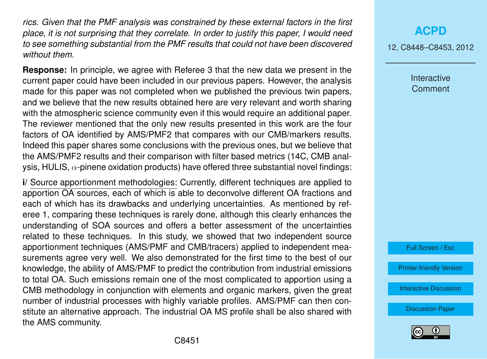*rics. Given that the PMF analysis was constrained by these external factors in the first place, it is not surprising that they correlate. In order to justify this paper, I would need to see something substantial from the PMF results that could not have been discovered without them.*

**Response:** In principle, we agree with Referee 3 that the new data we present in the current paper could have been included in our previous papers. However, the analysis made for this paper was not completed when we published the previous twin papers, and we believe that the new results obtained here are very relevant and worth sharing with the atmospheric science community even if this would require an additional paper. The reviewer mentioned that the only new results presented in this work are the four factors of OA identified by AMS/PMF2 that compares with our CMB/markers results. Indeed this paper shares some conclusions with the previous ones, but we believe that the AMS/PMF2 results and their comparison with filter based metrics (14C, CMB analysis, HULIS,  $\alpha$ -pinene oxidation products) have offered three substantial novel findings:

**i/** Source apportionment methodologies: Currently, different techniques are applied to apportion OA sources, each of which is able to deconvolve different OA fractions and each of which has its drawbacks and underlying uncertainties. As mentioned by referee 1, comparing these techniques is rarely done, although this clearly enhances the understanding of SOA sources and offers a better assessment of the uncertainties related to these techniques. In this study, we showed that two independent source apportionment techniques (AMS/PMF and CMB/tracers) applied to independent measurements agree very well. We also demonstrated for the first time to the best of our knowledge, the ability of AMS/PMF to predict the contribution from industrial emissions to total OA. Such emissions remain one of the most complicated to apportion using a CMB methodology in conjunction with elements and organic markers, given the great number of industrial processes with highly variable profiles. AMS/PMF can then constitute an alternative approach. The industrial OA MS profile shall be also shared with the AMS community.

12, C8448–C8453, 2012

Interactive **Comment** 

Full Screen / Esc

[Printer-friendly Version](http://www.atmos-chem-phys-discuss.net/12/C8448/2012/acpd-12-C8448-2012-print.pdf)

[Interactive Discussion](http://www.atmos-chem-phys-discuss.net/12/19769/2012/acpd-12-19769-2012-discussion.html)

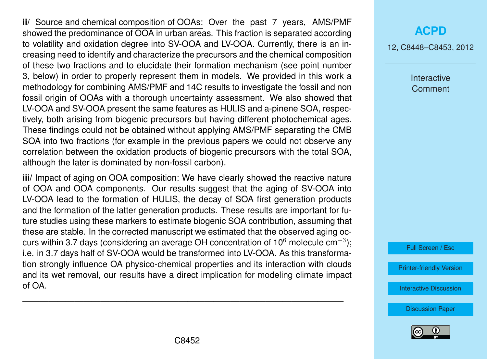**ii/** Source and chemical composition of OOAs: Over the past 7 years, AMS/PMF showed the predominance of OOA in urban areas. This fraction is separated according to volatility and oxidation degree into SV-OOA and LV-OOA. Currently, there is an increasing need to identify and characterize the precursors and the chemical composition of these two fractions and to elucidate their formation mechanism (see point number 3, below) in order to properly represent them in models. We provided in this work a methodology for combining AMS/PMF and 14C results to investigate the fossil and non fossil origin of OOAs with a thorough uncertainty assessment. We also showed that LV-OOA and SV-OOA present the same features as HULIS and a-pinene SOA, respectively, both arising from biogenic precursors but having different photochemical ages. These findings could not be obtained without applying AMS/PMF separating the CMB SOA into two fractions (for example in the previous papers we could not observe any correlation between the oxidation products of biogenic precursors with the total SOA, although the later is dominated by non-fossil carbon).

**iii/** Impact of aging on OOA composition: We have clearly showed the reactive nature of OOA and OOA components. Our results suggest that the aging of SV-OOA into LV-OOA lead to the formation of HULIS, the decay of SOA first generation products and the formation of the latter generation products. These results are important for future studies using these markers to estimate biogenic SOA contribution, assuming that these are stable. In the corrected manuscript we estimated that the observed aging occurs within 3.7 days (considering an average OH concentration of 10<sup>6</sup> molecule cm<sup>−3</sup>); i.e. in 3.7 days half of SV-OOA would be transformed into LV-OOA. As this transformation strongly influence OA physico-chemical properties and its interaction with clouds and its wet removal, our results have a direct implication for modeling climate impact of OA.

### **[ACPD](http://www.atmos-chem-phys-discuss.net)**

12, C8448–C8453, 2012

Interactive **Comment** 

Full Screen / Esc

[Printer-friendly Version](http://www.atmos-chem-phys-discuss.net/12/C8448/2012/acpd-12-C8448-2012-print.pdf)

[Interactive Discussion](http://www.atmos-chem-phys-discuss.net/12/19769/2012/acpd-12-19769-2012-discussion.html)

[Discussion Paper](http://www.atmos-chem-phys-discuss.net/12/19769/2012/acpd-12-19769-2012.pdf)



—————————————————————————————————————